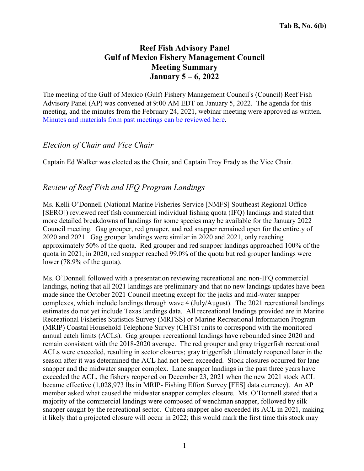# **Reef Fish Advisory Panel Gulf of Mexico Fishery Management Council Meeting Summary January 5 – 6, 2022**

The meeting of the Gulf of Mexico (Gulf) Fishery Management Council's (Council) Reef Fish Advisory Panel (AP) was convened at 9:00 AM EDT on January 5, 2022. The agenda for this meeting, and the minutes from the February 24, 2021, webinar meeting were approved as written. Minutes and [materials](https://gulfcouncil.org/meetings-archive/) from past meetings can be reviewed here.

## *Election of Chair and Vice Chair*

Captain Ed Walker was elected as the Chair, and Captain Troy Frady as the Vice Chair.

## *Review of Reef Fish and IFQ Program Landings*

Ms. Kelli O'Donnell (National Marine Fisheries Service [NMFS] Southeast Regional Office [SERO]) reviewed reef fish commercial individual fishing quota (IFQ) landings and stated that more detailed breakdowns of landings for some species may be available for the January 2022 Council meeting. Gag grouper, red grouper, and red snapper remained open for the entirety of 2020 and 2021. Gag grouper landings were similar in 2020 and 2021, only reaching approximately 50% of the quota. Red grouper and red snapper landings approached 100% of the quota in 2021; in 2020, red snapper reached 99.0% of the quota but red grouper landings were lower (78.9% of the quota).

Ms. O'Donnell followed with a presentation reviewing recreational and non-IFQ commercial landings, noting that all 2021 landings are preliminary and that no new landings updates have been made since the October 2021 Council meeting except for the jacks and mid-water snapper complexes, which include landings through wave 4 (July/August). The 2021 recreational landings estimates do not yet include Texas landings data. All recreational landings provided are in Marine Recreational Fisheries Statistics Survey (MRFSS) or Marine Recreational Information Program (MRIP) Coastal Household Telephone Survey (CHTS) units to correspond with the monitored annual catch limits (ACLs). Gag grouper recreational landings have rebounded since 2020 and remain consistent with the 2018-2020 average. The red grouper and gray triggerfish recreational ACLs were exceeded, resulting in sector closures; gray triggerfish ultimately reopened later in the season after it was determined the ACL had not been exceeded. Stock closures occurred for lane snapper and the midwater snapper complex. Lane snapper landings in the past three years have exceeded the ACL, the fishery reopened on December 23, 2021 when the new 2021 stock ACL became effective (1,028,973 lbs in MRIP- Fishing Effort Survey [FES] data currency). An AP member asked what caused the midwater snapper complex closure. Ms. O'Donnell stated that a majority of the commercial landings were composed of wenchman snapper, followed by silk snapper caught by the recreational sector. Cubera snapper also exceeded its ACL in 2021, making it likely that a projected closure will occur in 2022; this would mark the first time this stock may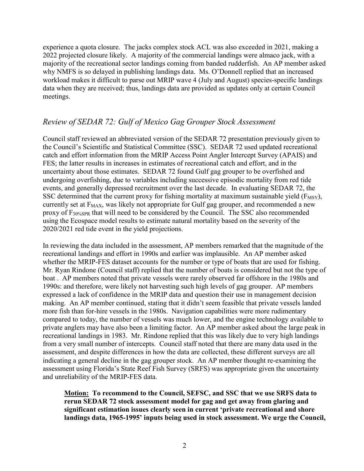experience a quota closure. The jacks complex stock ACL was also exceeded in 2021, making a 2022 projected closure likely. A majority of the commercial landings were almaco jack, with a majority of the recreational sector landings coming from banded rudderfish. An AP member asked why NMFS is so delayed in publishing landings data. Ms. O'Donnell replied that an increased workload makes it difficult to parse out MRIP wave 4 (July and August) species-specific landings data when they are received; thus, landings data are provided as updates only at certain Council meetings.

## *Review of SEDAR 72: Gulf of Mexico Gag Grouper Stock Assessment*

Council staff reviewed an abbreviated version of the SEDAR 72 presentation previously given to the Council's Scientific and Statistical Committee (SSC). SEDAR 72 used updated recreational catch and effort information from the MRIP Access Point Angler Intercept Survey (APAIS) and FES; the latter results in increases in estimates of recreational catch and effort, and in the uncertainty about those estimates. SEDAR 72 found Gulf gag grouper to be overfished and undergoing overfishing, due to variables including successive episodic mortality from red tide events, and generally depressed recruitment over the last decade. In evaluating SEDAR 72, the SSC determined that the current proxy for fishing mortality at maximum sustainable yield ( $F_{\text{MSY}}$ ), currently set at  $F_{MAX}$ , was likely not appropriate for Gulf gag grouper, and recommended a new proxy of F30%SPR that will need to be considered by the Council. The SSC also recommended using the Ecospace model results to estimate natural mortality based on the severity of the 2020/2021 red tide event in the yield projections.

In reviewing the data included in the assessment, AP members remarked that the magnitude of the recreational landings and effort in 1990s and earlier was implausible. An AP member asked whether the MRIP-FES dataset accounts for the number or type of boats that are used for fishing. Mr. Ryan Rindone (Council staff) replied that the number of boats is considered but not the type of boat . AP members noted that private vessels were rarely observed far offshore in the 1980s and 1990s: and therefore, were likely not harvesting such high levels of gag grouper. AP members expressed a lack of confidence in the MRIP data and question their use in management decision making. An AP member continued, stating that it didn't seem feasible that private vessels landed more fish than for-hire vessels in the 1980s. Navigation capabilities were more rudimentary compared to today, the number of vessels was much lower, and the engine technology available to private anglers may have also been a limiting factor. An AP member asked about the large peak in recreational landings in 1983. Mr. Rindone replied that this was likely due to very high landings from a very small number of intercepts. Council staff noted that there are many data used in the assessment, and despite differences in how the data are collected, these different surveys are all indicating a general decline in the gag grouper stock. An AP member thought re-examining the assessment using Florida's State Reef Fish Survey (SRFS) was appropriate given the uncertainty and unreliability of the MRIP-FES data.

**Motion: To recommend to the Council, SEFSC, and SSC that we use SRFS data to rerun SEDAR 72 stock assessment model for gag and get away from glaring and significant estimation issues clearly seen in current 'private recreational and shore landings data, 1965-1995' inputs being used in stock assessment. We urge the Council,**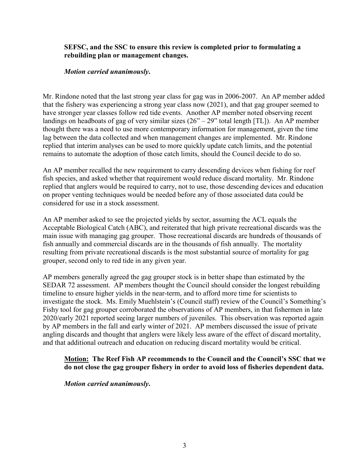#### **SEFSC, and the SSC to ensure this review is completed prior to formulating a rebuilding plan or management changes.**

### *Motion carried unanimously***.**

Mr. Rindone noted that the last strong year class for gag was in 2006-2007. An AP member added that the fishery was experiencing a strong year class now (2021), and that gag grouper seemed to have stronger year classes follow red tide events. Another AP member noted observing recent landings on headboats of gag of very similar sizes  $(26^{\circ} – 29^{\circ})$  total length [TL]). An AP member thought there was a need to use more contemporary information for management, given the time lag between the data collected and when management changes are implemented. Mr. Rindone replied that interim analyses can be used to more quickly update catch limits, and the potential remains to automate the adoption of those catch limits, should the Council decide to do so.

An AP member recalled the new requirement to carry descending devices when fishing for reef fish species, and asked whether that requirement would reduce discard mortality. Mr. Rindone replied that anglers would be required to carry, not to use, those descending devices and education on proper venting techniques would be needed before any of those associated data could be considered for use in a stock assessment.

An AP member asked to see the projected yields by sector, assuming the ACL equals the Acceptable Biological Catch (ABC), and reiterated that high private recreational discards was the main issue with managing gag grouper. Those recreational discards are hundreds of thousands of fish annually and commercial discards are in the thousands of fish annually. The mortality resulting from private recreational discards is the most substantial source of mortality for gag grouper, second only to red tide in any given year.

AP members generally agreed the gag grouper stock is in better shape than estimated by the SEDAR 72 assessment. AP members thought the Council should consider the longest rebuilding timeline to ensure higher yields in the near-term, and to afford more time for scientists to investigate the stock. Ms. Emily Muehlstein's (Council staff) review of the Council's Something's Fishy tool for gag grouper corroborated the observations of AP members, in that fishermen in late 2020/early 2021 reported seeing larger numbers of juveniles. This observation was reported again by AP members in the fall and early winter of 2021. AP members discussed the issue of private angling discards and thought that anglers were likely less aware of the effect of discard mortality, and that additional outreach and education on reducing discard mortality would be critical.

### **Motion: The Reef Fish AP recommends to the Council and the Council's SSC that we do not close the gag grouper fishery in order to avoid loss of fisheries dependent data.**

*Motion carried unanimously***.**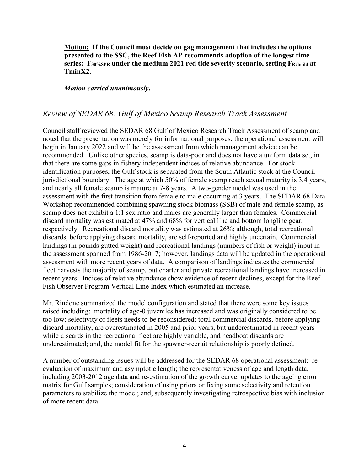**Motion: If the Council must decide on gag management that includes the options presented to the SSC, the Reef Fish AP recommends adoption of the longest time series: F30%SPR under the medium 2021 red tide severity scenario, setting FRebuild at TminX2.**

*Motion carried unanimously***.**

## *Review of SEDAR 68: Gulf of Mexico Scamp Research Track Assessment*

Council staff reviewed the SEDAR 68 Gulf of Mexico Research Track Assessment of scamp and noted that the presentation was merely for informational purposes; the operational assessment will begin in January 2022 and will be the assessment from which management advice can be recommended. Unlike other species, scamp is data-poor and does not have a uniform data set, in that there are some gaps in fishery-independent indices of relative abundance. For stock identification purposes, the Gulf stock is separated from the South Atlantic stock at the Council jurisdictional boundary. The age at which 50% of female scamp reach sexual maturity is 3.4 years, and nearly all female scamp is mature at 7-8 years. A two-gender model was used in the assessment with the first transition from female to male occurring at 3 years. The SEDAR 68 Data Workshop recommended combining spawning stock biomass (SSB) of male and female scamp, as scamp does not exhibit a 1:1 sex ratio and males are generally larger than females. Commercial discard mortality was estimated at 47% and 68% for vertical line and bottom longline gear, respectively. Recreational discard mortality was estimated at 26%; although, total recreational discards, before applying discard mortality, are self-reported and highly uncertain. Commercial landings (in pounds gutted weight) and recreational landings (numbers of fish or weight) input in the assessment spanned from 1986-2017; however, landings data will be updated in the operational assessment with more recent years of data. A comparison of landings indicates the commercial fleet harvests the majority of scamp, but charter and private recreational landings have increased in recent years. Indices of relative abundance show evidence of recent declines, except for the Reef Fish Observer Program Vertical Line Index which estimated an increase.

Mr. Rindone summarized the model configuration and stated that there were some key issues raised including: mortality of age-0 juveniles has increased and was originally considered to be too low; selectivity of fleets needs to be reconsidered; total commercial discards, before applying discard mortality, are overestimated in 2005 and prior years, but underestimated in recent years while discards in the recreational fleet are highly variable, and headboat discards are underestimated; and, the model fit for the spawner-recruit relationship is poorly defined.

A number of outstanding issues will be addressed for the SEDAR 68 operational assessment: reevaluation of maximum and asymptotic length; the representativeness of age and length data, including 2003-2012 age data and re-estimation of the growth curve; updates to the ageing error matrix for Gulf samples; consideration of using priors or fixing some selectivity and retention parameters to stabilize the model; and, subsequently investigating retrospective bias with inclusion of more recent data.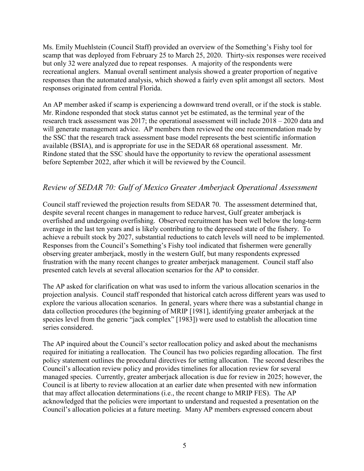Ms. Emily Muehlstein (Council Staff) provided an overview of the Something's Fishy tool for scamp that was deployed from February 25 to March 25, 2020. Thirty-six responses were received but only 32 were analyzed due to repeat responses. A majority of the respondents were recreational anglers. Manual overall sentiment analysis showed a greater proportion of negative responses than the automated analysis, which showed a fairly even split amongst all sectors. Most responses originated from central Florida.

An AP member asked if scamp is experiencing a downward trend overall, or if the stock is stable. Mr. Rindone responded that stock status cannot yet be estimated, as the terminal year of the research track assessment was 2017; the operational assessment will include 2018 – 2020 data and will generate management advice. AP members then reviewed the one recommendation made by the SSC that the research track assessment base model represents the best scientific information available (BSIA), and is appropriate for use in the SEDAR 68 operational assessment. Mr. Rindone stated that the SSC should have the opportunity to review the operational assessment before September 2022, after which it will be reviewed by the Council.

# *Review of SEDAR 70: Gulf of Mexico Greater Amberjack Operational Assessment*

Council staff reviewed the projection results from SEDAR 70. The assessment determined that, despite several recent changes in management to reduce harvest, Gulf greater amberjack is overfished and undergoing overfishing. Observed recruitment has been well below the long-term average in the last ten years and is likely contributing to the depressed state of the fishery. To achieve a rebuilt stock by 2027, substantial reductions to catch levels will need to be implemented. Responses from the Council's Something's Fishy tool indicated that fishermen were generally observing greater amberjack, mostly in the western Gulf, but many respondents expressed frustration with the many recent changes to greater amberjack management. Council staff also presented catch levels at several allocation scenarios for the AP to consider.

The AP asked for clarification on what was used to inform the various allocation scenarios in the projection analysis. Council staff responded that historical catch across different years was used to explore the various allocation scenarios. In general, years where there was a substantial change in data collection procedures (the beginning of MRIP [1981], identifying greater amberjack at the species level from the generic "jack complex" [1983]) were used to establish the allocation time series considered.

The AP inquired about the Council's sector reallocation policy and asked about the mechanisms required for initiating a reallocation. The Council has two policies regarding allocation. The first policy statement outlines the procedural directives for setting allocation. The second describes the Council's allocation review policy and provides timelines for allocation review for several managed species. Currently, greater amberjack allocation is due for review in 2025; however, the Council is at liberty to review allocation at an earlier date when presented with new information that may affect allocation determinations (i.e., the recent change to MRIP FES). The AP acknowledged that the policies were important to understand and requested a presentation on the Council's allocation policies at a future meeting. Many AP members expressed concern about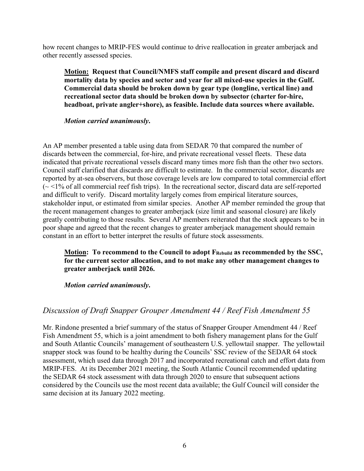how recent changes to MRIP-FES would continue to drive reallocation in greater amberjack and other recently assessed species.

**Motion: Request that Council/NMFS staff compile and present discard and discard mortality data by species and sector and year for all mixed-use species in the Gulf. Commercial data should be broken down by gear type (longline, vertical line) and recreational sector data should be broken down by subsector (charter for-hire, headboat, private angler+shore), as feasible. Include data sources where available.**

*Motion carried unanimously***.**

An AP member presented a table using data from SEDAR 70 that compared the number of discards between the commercial, for-hire, and private recreational vessel fleets. These data indicated that private recreational vessels discard many times more fish than the other two sectors. Council staff clarified that discards are difficult to estimate. In the commercial sector, discards are reported by at-sea observers, but those coverage levels are low compared to total commercial effort  $\sim$  <1% of all commercial reef fish trips). In the recreational sector, discard data are self-reported and difficult to verify. Discard mortality largely comes from empirical literature sources, stakeholder input, or estimated from similar species. Another AP member reminded the group that the recent management changes to greater amberjack (size limit and seasonal closure) are likely greatly contributing to those results. Several AP members reiterated that the stock appears to be in poor shape and agreed that the recent changes to greater amberjack management should remain constant in an effort to better interpret the results of future stock assessments.

**Motion: To recommend to the Council to adopt FRebuild as recommended by the SSC, for the current sector allocation, and to not make any other management changes to greater amberjack until 2026.**

*Motion carried unanimously***.**

## *Discussion of Draft Snapper Grouper Amendment 44 / Reef Fish Amendment 55*

Mr. Rindone presented a brief summary of the status of Snapper Grouper Amendment 44 / Reef Fish Amendment 55, which is a joint amendment to both fishery management plans for the Gulf and South Atlantic Councils' management of southeastern U.S. yellowtail snapper. The yellowtail snapper stock was found to be healthy during the Councils' SSC review of the SEDAR 64 stock assessment, which used data through 2017 and incorporated recreational catch and effort data from MRIP-FES. At its December 2021 meeting, the South Atlantic Council recommended updating the SEDAR 64 stock assessment with data through 2020 to ensure that subsequent actions considered by the Councils use the most recent data available; the Gulf Council will consider the same decision at its January 2022 meeting.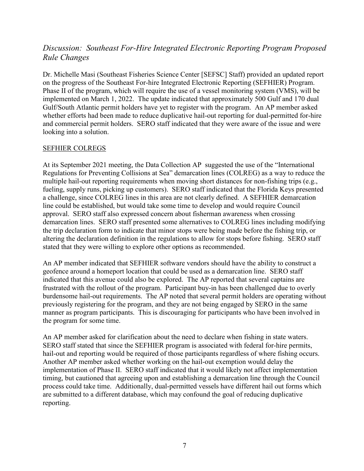# *Discussion: Southeast For-Hire Integrated Electronic Reporting Program Proposed Rule Changes*

Dr. Michelle Masi (Southeast Fisheries Science Center [SEFSC] Staff) provided an updated report on the progress of the Southeast For-hire Integrated Electronic Reporting (SEFHIER) Program. Phase II of the program, which will require the use of a vessel monitoring system (VMS), will be implemented on March 1, 2022. The update indicated that approximately 500 Gulf and 170 dual Gulf/South Atlantic permit holders have yet to register with the program. An AP member asked whether efforts had been made to reduce duplicative hail-out reporting for dual-permitted for-hire and commercial permit holders. SERO staff indicated that they were aware of the issue and were looking into a solution.

#### SEFHIER COLREGS

At its September 2021 meeting, the Data Collection AP suggested the use of the "International Regulations for Preventing Collisions at Sea" demarcation lines (COLREG) as a way to reduce the multiple hail-out reporting requirements when moving short distances for non-fishing trips (e.g., fueling, supply runs, picking up customers). SERO staff indicated that the Florida Keys presented a challenge, since COLREG lines in this area are not clearly defined. A SEFHIER demarcation line could be established, but would take some time to develop and would require Council approval. SERO staff also expressed concern about fisherman awareness when crossing demarcation lines. SERO staff presented some alternatives to COLREG lines including modifying the trip declaration form to indicate that minor stops were being made before the fishing trip, or altering the declaration definition in the regulations to allow for stops before fishing. SERO staff stated that they were willing to explore other options as recommended.

An AP member indicated that SEFHIER software vendors should have the ability to construct a geofence around a homeport location that could be used as a demarcation line. SERO staff indicated that this avenue could also be explored. The AP reported that several captains are frustrated with the rollout of the program. Participant buy-in has been challenged due to overly burdensome hail-out requirements. The AP noted that several permit holders are operating without previously registering for the program, and they are not being engaged by SERO in the same manner as program participants. This is discouraging for participants who have been involved in the program for some time.

An AP member asked for clarification about the need to declare when fishing in state waters. SERO staff stated that since the SEFHIER program is associated with federal for-hire permits, hail-out and reporting would be required of those participants regardless of where fishing occurs. Another AP member asked whether working on the hail-out exemption would delay the implementation of Phase II. SERO staff indicated that it would likely not affect implementation timing, but cautioned that agreeing upon and establishing a demarcation line through the Council process could take time. Additionally, dual-permitted vessels have different hail out forms which are submitted to a different database, which may confound the goal of reducing duplicative reporting.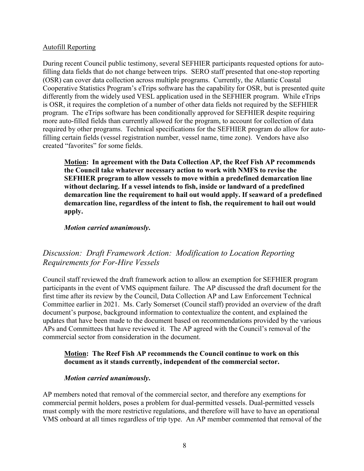#### Autofill Reporting

During recent Council public testimony, several SEFHIER participants requested options for autofilling data fields that do not change between trips. SERO staff presented that one-stop reporting (OSR) can cover data collection across multiple programs. Currently, the Atlantic Coastal Cooperative Statistics Program's eTrips software has the capability for OSR, but is presented quite differently from the widely used VESL application used in the SEFHIER program. While eTrips is OSR, it requires the completion of a number of other data fields not required by the SEFHIER program. The eTrips software has been conditionally approved for SEFHIER despite requiring more auto-filled fields than currently allowed for the program, to account for collection of data required by other programs. Technical specifications for the SEFHIER program do allow for autofilling certain fields (vessel registration number, vessel name, time zone). Vendors have also created "favorites" for some fields.

**Motion: In agreement with the Data Collection AP, the Reef Fish AP recommends the Council take whatever necessary action to work with NMFS to revise the SEFHIER program to allow vessels to move within a predefined demarcation line without declaring. If a vessel intends to fish, inside or landward of a predefined demarcation line the requirement to hail out would apply. If seaward of a predefined demarcation line, regardless of the intent to fish, the requirement to hail out would apply.**

#### *Motion carried unanimously***.**

## *Discussion: Draft Framework Action: Modification to Location Reporting Requirements for For-Hire Vessels*

Council staff reviewed the draft framework action to allow an exemption for SEFHIER program participants in the event of VMS equipment failure. The AP discussed the draft document for the first time after its review by the Council, Data Collection AP and Law Enforcement Technical Committee earlier in 2021. Ms. Carly Somerset (Council staff) provided an overview of the draft document's purpose, background information to contextualize the content, and explained the updates that have been made to the document based on recommendations provided by the various APs and Committees that have reviewed it. The AP agreed with the Council's removal of the commercial sector from consideration in the document.

#### **Motion: The Reef Fish AP recommends the Council continue to work on this document as it stands currently, independent of the commercial sector.**

### *Motion carried unanimously***.**

AP members noted that removal of the commercial sector, and therefore any exemptions for commercial permit holders, poses a problem for dual-permitted vessels. Dual-permitted vessels must comply with the more restrictive regulations, and therefore will have to have an operational VMS onboard at all times regardless of trip type. An AP member commented that removal of the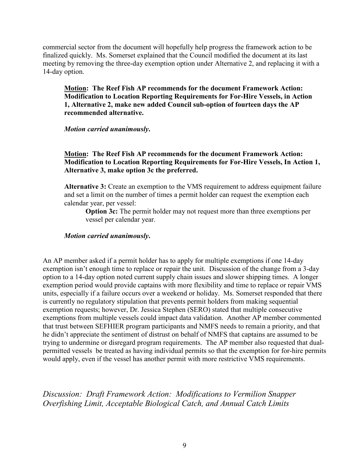commercial sector from the document will hopefully help progress the framework action to be finalized quickly. Ms. Somerset explained that the Council modified the document at its last meeting by removing the three-day exemption option under Alternative 2, and replacing it with a 14-day option.

**Motion: The Reef Fish AP recommends for the document Framework Action: Modification to Location Reporting Requirements for For-Hire Vessels, in Action 1, Alternative 2, make new added Council sub-option of fourteen days the AP recommended alternative.**

*Motion carried unanimously***.**

### **Motion: The Reef Fish AP recommends for the document Framework Action: Modification to Location Reporting Requirements for For-Hire Vessels, In Action 1, Alternative 3, make option 3c the preferred.**

**Alternative 3:** Create an exemption to the VMS requirement to address equipment failure and set a limit on the number of times a permit holder can request the exemption each calendar year, per vessel:

**Option 3c:** The permit holder may not request more than three exemptions per vessel per calendar year.

#### *Motion carried unanimously***.**

An AP member asked if a permit holder has to apply for multiple exemptions if one 14-day exemption isn't enough time to replace or repair the unit. Discussion of the change from a 3-day option to a 14-day option noted current supply chain issues and slower shipping times. A longer exemption period would provide captains with more flexibility and time to replace or repair VMS units, especially if a failure occurs over a weekend or holiday. Ms. Somerset responded that there is currently no regulatory stipulation that prevents permit holders from making sequential exemption requests; however, Dr. Jessica Stephen (SERO) stated that multiple consecutive exemptions from multiple vessels could impact data validation. Another AP member commented that trust between SEFHIER program participants and NMFS needs to remain a priority, and that he didn't appreciate the sentiment of distrust on behalf of NMFS that captains are assumed to be trying to undermine or disregard program requirements. The AP member also requested that dualpermitted vessels be treated as having individual permits so that the exemption for for-hire permits would apply, even if the vessel has another permit with more restrictive VMS requirements.

*Discussion: Draft Framework Action: Modifications to Vermilion Snapper Overfishing Limit, Acceptable Biological Catch, and Annual Catch Limits*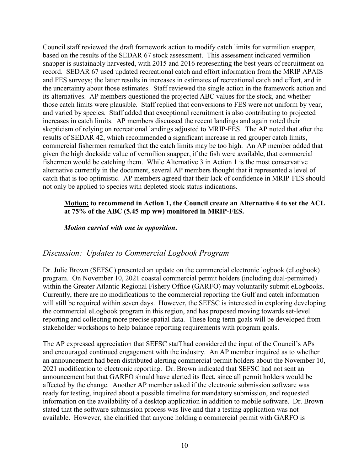Council staff reviewed the draft framework action to modify catch limits for vermilion snapper, based on the results of the SEDAR 67 stock assessment. This assessment indicated vermilion snapper is sustainably harvested, with 2015 and 2016 representing the best years of recruitment on record. SEDAR 67 used updated recreational catch and effort information from the MRIP APAIS and FES surveys; the latter results in increases in estimates of recreational catch and effort, and in the uncertainty about those estimates. Staff reviewed the single action in the framework action and its alternatives. AP members questioned the projected ABC values for the stock, and whether those catch limits were plausible. Staff replied that conversions to FES were not uniform by year, and varied by species. Staff added that exceptional recruitment is also contributing to projected increases in catch limits. AP members discussed the recent landings and again noted their skepticism of relying on recreational landings adjusted to MRIP-FES. The AP noted that after the results of SEDAR 42, which recommended a significant increase in red grouper catch limits, commercial fishermen remarked that the catch limits may be too high. An AP member added that given the high dockside value of vermilion snapper, if the fish were available, that commercial fishermen would be catching them. While Alternative 3 in Action 1 is the most conservative alternative currently in the document, several AP members thought that it represented a level of catch that is too optimistic. AP members agreed that their lack of confidence in MRIP-FES should not only be applied to species with depleted stock status indications.

### **Motion: to recommend in Action 1, the Council create an Alternative 4 to set the ACL at 75% of the ABC (5.45 mp ww) monitored in MRIP-FES.**

*Motion carried with one in opposition***.**

## *Discussion: Updates to Commercial Logbook Program*

Dr. Julie Brown (SEFSC) presented an update on the commercial electronic logbook (eLogbook) program. On November 10, 2021 coastal commercial permit holders (including dual-permitted) within the Greater Atlantic Regional Fishery Office (GARFO) may voluntarily submit eLogbooks. Currently, there are no modifications to the commercial reporting the Gulf and catch information will still be required within seven days. However, the SEFSC is interested in exploring developing the commercial eLogbook program in this region, and has proposed moving towards set-level reporting and collecting more precise spatial data. These long-term goals will be developed from stakeholder workshops to help balance reporting requirements with program goals.

The AP expressed appreciation that SEFSC staff had considered the input of the Council's APs and encouraged continued engagement with the industry. An AP member inquired as to whether an announcement had been distributed alerting commercial permit holders about the November 10, 2021 modification to electronic reporting. Dr. Brown indicated that SEFSC had not sent an announcement but that GARFO should have alerted its fleet, since all permit holders would be affected by the change. Another AP member asked if the electronic submission software was ready for testing, inquired about a possible timeline for mandatory submission, and requested information on the availability of a desktop application in addition to mobile software. Dr. Brown stated that the software submission process was live and that a testing application was not available. However, she clarified that anyone holding a commercial permit with GARFO is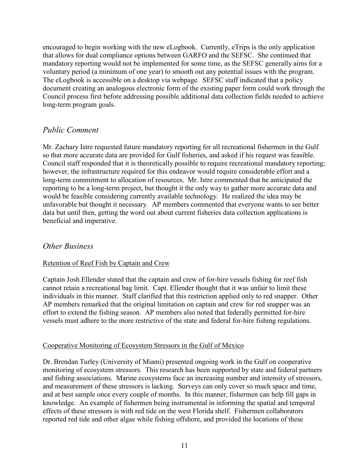encouraged to begin working with the new eLogbook. Currently, eTrips is the only application that allows for dual compliance options between GARFO and the SEFSC. She continued that mandatory reporting would not be implemented for some time, as the SEFSC generally aims for a voluntary period (a minimum of one year) to smooth out any potential issues with the program. The eLogbook is accessible on a desktop via webpage. SEFSC staff indicated that a policy document creating an analogous electronic form of the existing paper form could work through the Council process first before addressing possible additional data collection fields needed to achieve long-term program goals.

## *Public Comment*

Mr. Zachary Istre requested future mandatory reporting for all recreational fishermen in the Gulf so that more accurate data are provided for Gulf fisheries, and asked if his request was feasible. Council staff responded that it is theoretically possible to require recreational mandatory reporting; however, the infrastructure required for this endeavor would require considerable effort and a long-term commitment to allocation of resources. Mr. Istre commented that he anticipated the reporting to be a long-term project, but thought it the only way to gather more accurate data and would be feasible considering currently available technology. He realized the idea may be unfavorable but thought it necessary. AP members commented that everyone wants to see better data but until then, getting the word out about current fisheries data collection applications is beneficial and imperative.

## *Other Business*

## Retention of Reef Fish by Captain and Crew

Captain Josh Ellender stated that the captain and crew of for-hire vessels fishing for reef fish cannot retain a recreational bag limit. Capt. Ellender thought that it was unfair to limit these individuals in this manner. Staff clarified that this restriction applied only to red snapper. Other AP members remarked that the original limitation on captain and crew for red snapper was an effort to extend the fishing season. AP members also noted that federally permitted for-hire vessels must adhere to the more restrictive of the state and federal for-hire fishing regulations.

### Cooperative Monitoring of Ecosystem Stressors in the Gulf of Mexico

Dr. Brendan Turley (University of Miami) presented ongoing work in the Gulf on cooperative monitoring of ecosystem stressors. This research has been supported by state and federal partners and fishing associations. Marine ecosystems face an increasing number and intensity of stressors, and measurement of these stressors is lacking. Surveys can only cover so much space and time, and at best sample once every couple of months. In this manner, fishermen can help fill gaps in knowledge. An example of fishermen being instrumental in informing the spatial and temporal effects of these stressors is with red tide on the west Florida shelf. Fishermen collaborators reported red tide and other algae while fishing offshore, and provided the locations of these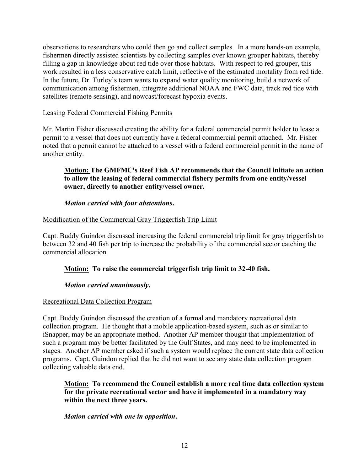observations to researchers who could then go and collect samples. In a more hands-on example, fishermen directly assisted scientists by collecting samples over known grouper habitats, thereby filling a gap in knowledge about red tide over those habitats. With respect to red grouper, this work resulted in a less conservative catch limit, reflective of the estimated mortality from red tide. In the future, Dr. Turley's team wants to expand water quality monitoring, build a network of communication among fishermen, integrate additional NOAA and FWC data, track red tide with satellites (remote sensing), and nowcast/forecast hypoxia events.

### Leasing Federal Commercial Fishing Permits

Mr. Martin Fisher discussed creating the ability for a federal commercial permit holder to lease a permit to a vessel that does not currently have a federal commercial permit attached. Mr. Fisher noted that a permit cannot be attached to a vessel with a federal commercial permit in the name of another entity.

### **Motion: The GMFMC's Reef Fish AP recommends that the Council initiate an action to allow the leasing of federal commercial fishery permits from one entity/vessel owner, directly to another entity/vessel owner.**

### *Motion carried with four abstentions***.**

## Modification of the Commercial Gray Triggerfish Trip Limit

Capt. Buddy Guindon discussed increasing the federal commercial trip limit for gray triggerfish to between 32 and 40 fish per trip to increase the probability of the commercial sector catching the commercial allocation.

## **Motion: To raise the commercial triggerfish trip limit to 32-40 fish.**

### *Motion carried unanimously***.**

### Recreational Data Collection Program

Capt. Buddy Guindon discussed the creation of a formal and mandatory recreational data collection program. He thought that a mobile application-based system, such as or similar to iSnapper, may be an appropriate method. Another AP member thought that implementation of such a program may be better facilitated by the Gulf States, and may need to be implemented in stages. Another AP member asked if such a system would replace the current state data collection programs. Capt. Guindon replied that he did not want to see any state data collection program collecting valuable data end.

**Motion: To recommend the Council establish a more real time data collection system for the private recreational sector and have it implemented in a mandatory way within the next three years.**

### *Motion carried with one in opposition***.**